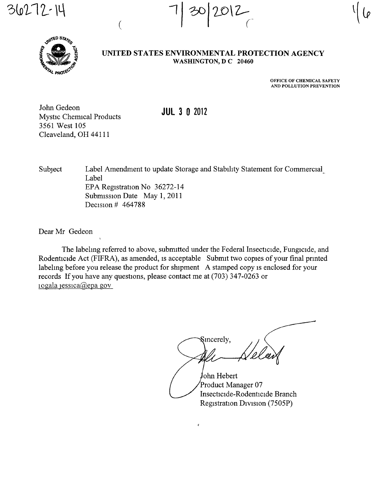36272-14

 $2012$ 



## UNITED STATES ENVIRONMENTAL PROTECTION AGENCY WASHINGTON, D C 20460

OFFICE OF CHEMICAL SAFETY AND POLLUTION PREVENTION  $\mathfrak{c}$ 

John Gedeon Mystic Chemical Products 3561 West 105 Cleaveland, OH 44111

 $\left($ 

JUL 3 0 2012

Subject Label Amendment to update Storage and Stability Statement for Commercial^ Label EPA Registration No 36272-14 Submission Date May 1, 2011 Decision # 464788

Dear Mr Gedeon

The labeling referred to above, submitted under the Federal Insecticide, Fungicide, and Rodenticide Act (FIFRA), as amended, is acceptable Submit two copies of your final printed labeling before you release the product for shipment A stamped copy is enclosed for your records If you have any questions, please contact me at (703) 347-0263 or ipgala iessica@epa gov

 $\pmb{c}$ 

Sincerely,

John Hebert 'Product Manager 07 Insecticide-Rodenticide Branch Registration Division (7505P)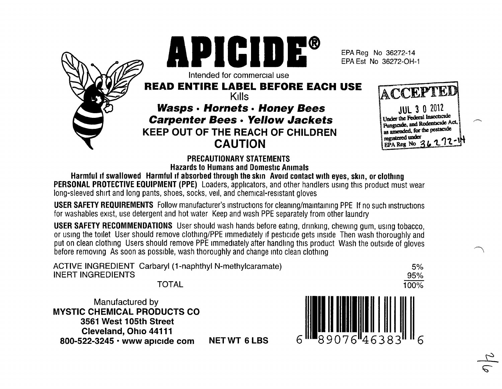



Kills **Wasps · Hornets · Honey Bees** 

**Carpenter Bees · Yellow Jackets** 

EPA Rea No 36272-14 EPA Est No 36272-OH-1

> ACCEPTEI **JUL 3 0 2012** Under the Federal Insectionde **Fungicide, and Rodenticide Act,** as amended, for the pestacide registered under  $EPA$  Reg No  $2L$

> > $5%$

95%

## PRECAUTIONARY STATEMENTS **Hazards to Humans and Domestic Animals**

**CAUTION** 

Harmful if swallowed Harmful if absorbed through the skin Avoid contact with eyes, skin, or clothing **PERSONAL PROTECTIVE EQUIPMENT (PPE)** Loaders, applicators, and other handlers using this product must wear long-sleeved shirt and long pants, shoes, socks, veil, and chemical-resistant gloves

**USER SAFETY REQUIREMENTS** Follow manufacturer's instructions for cleaning/maintaining PPE If no such instructions for washables exist, use detergent and hot water Keep and wash PPE separately from other laundry

**USER SAFETY RECOMMENDATIONS** User should wash hands before eating, drinking, chewing gum, using tobacco. or using the toilet User should remove clothing/PPE immediately if pesticide gets inside Then wash thoroughly and put on clean clothing Users should remove PPE immediately after handling this product Wash the outside of gloves before removing As soon as possible, wash thoroughly and change into clean clothing

ACTIVE INGREDIENT Carbaryl (1-naphthyl N-methylcaramate) **INERT INGREDIENTS** 

**TOTAL** 

Manufactured by **MYSTIC CHEMICAL PRODUCTS CO** 3561 West 105th Street Cleveland, Ohio 44111 **NETWT 6 LBS** 800-522-3245 · www apicide com

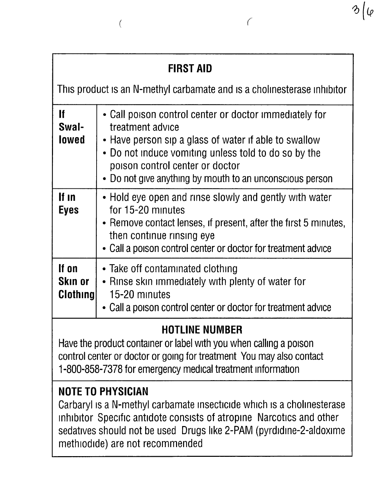## FIRST AID This product is an N-methyl carbamate and is a cholmesterase inhibitor If Swallowed Call poison control center or doctor immediately for treatment advice • Have person sip a glass of water if able to swallow Do not induce vomiting unless told to do so by the poison control center or doctor Do not give anything by mouth to an unconscious person If in Eyes • Hold eye open and rinse slowly and gently with water for 15-20 minutes • Remove contact lenses, if present, after the first 5 minutes, then continue rinsing eye Call a poison control center or doctor for treatment advice If on Skin or Clothing • Take off contaminated clothing • Rinse skin immediately with plenty of water for 15-20 minutes • Call a poison control center or doctor for treatment advice HOTLINE NUMBER

r

Have the product container or label with you when calling a poison control center or doctor or going for treatment You may also contact 1-800-858-7378 for emergency medical treatment information

## NOTE TO PHYSICIAN

 $\big($ 

Carbaryl is a N-methyl carbamate insecticide which is a cholmesterase inhibitor Specific antidote consists of atropme Narcotics and other sedatives should not be used Drugs like 2-PAM (pyrdidme-2-aldoxime methiodide) are not recommended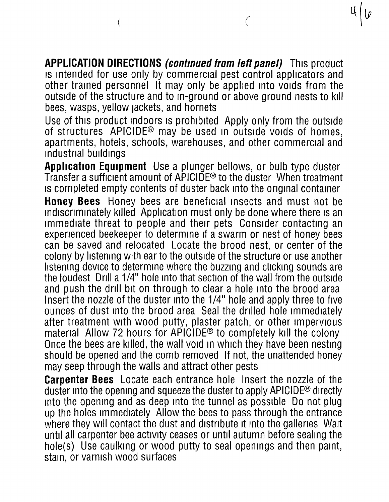APPLICATION DIRECTIONS (continued from left panel) This product is intended for use only by commercial pest control applicators and other trained personnel It may only be applied into voids from the outside of the structure and to in-ground or above ground nests to kill bees, wasps, yellow jackets, and hornets

 $\left($ 

Use of this product indoors is prohibited Apply only from the outside of structures APICIDE® may be used in outside voids of homes, apartments, hotels, schools, warehouses, and other commercial and industrial buildings

Application Equipment Use a plunger bellows, or bulb type duster Transfer a sufficient amount of APICIDE® to the duster When treatment is completed empty contents of duster back into the original container Honey Bees Honey bees are beneficial insects and must not be indiscriminately killed Application must only be done where there is an immediate threat to people and their pets Consider contacting an experienced beekeeper to determine if a swarm or nest of honey bees can be saved and relocated Locate the brood nest, or center of the colony by listening with ear to the outside of the structure or use another listening device to determine where the buzzing and clicking sounds are the loudest Drill a 1/4" hole into that section of the wall from the outside and push the drill bit on through to clear a hole into the brood area Insert the nozzle of the duster into the 1/4" hole and apply three to five ounces of dust into the brood area Seal the drilled hole immediately after treatment with wood putty, plaster patch, or other impervious material Allow 72 hours for APICIDE® to completely kill the colony Once the bees are killed, the wall void in which they have been nesting should be opened and the comb removed If not, the unattended honey may seep through the walls and attract other pests

Carpenter Bees Locate each entrance hole Insert the nozzle of the duster into the opening and squeeze the duster to apply APICIDE® directly into the opening and as deep into the tunnel as possible Do not plug up the holes immediately Allow the bees to pass through the entrance where they will contact the dust and distribute it into the galleries Wait until all carpenter bee activity ceases or until autumn before sealing the hole(s) Use caulking or wood putty to seal openings and then paint, stain, or varnish wood surfaces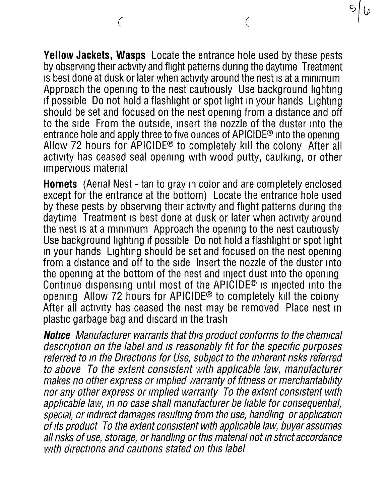Yellow Jackets, Wasps Locate the entrance hole used by these pests by observing their activity and flight patterns during the daytime Treatment is best done at dusk or later when activity around the nest is at a minimum Approach the opening to the nest cautiously Use background lighting if possible Do not hold a flashlight or spot light in your hands Lighting should be set and focused on the nest opening from a distance and off to the side From the outside, insert the nozzle of the duster into the entrance hole and apply three to five ounces of APICIDE® into the opening Allow 72 hours for APICIDE® to completely kill the colony After all activity has ceased seal opening with wood putty, caulking, or other impervious material

€

Hornets (Aerial Nest - tan to gray in color and are completely enclosed except for the entrance at the bottom) Locate the entrance hole used by these pests by observing their activity and flight patterns during the daytime Treatment is best done at dusk or later when activity around the nest is at a minimum Approach the opening to the nest cautiously Use background lighting if possible Do not hold a flashlight or spot light in your hands Lighting should be set and focused on the nest opening from a distance and off to the side Insert the nozzle of the duster into the opening at the bottom of the nest and inject dust into the opening Continue dispensing until most of the APICIDE® is injected into the opening Allow 72 hours for APICIDE® to completely kill the colony After all activity has ceased the nest may be removed Place nest in plastic garbage bag and discard in the trash

**Notice** Manufacturer warrants that this product conforms to the chemical description on the label and is reasonably fit for the specific purposes referred to in the Directions for Use, subject to the inherent risks referred to above To the extent consistent with applicable law, manufacturer makes no other express or implied warranty of fitness or merchantability nor any other express or implied warranty To the extent consistent with applicable law, in no case shall manufacturer be liable for consequential, special, or indirect damages resulting from the use, handling or application of its product To the extent consistent with applicable law, buyer assumes all risks of use, storage, or handling or this material not in strict accordance with directions and cautions stated on this label

 $5/6$